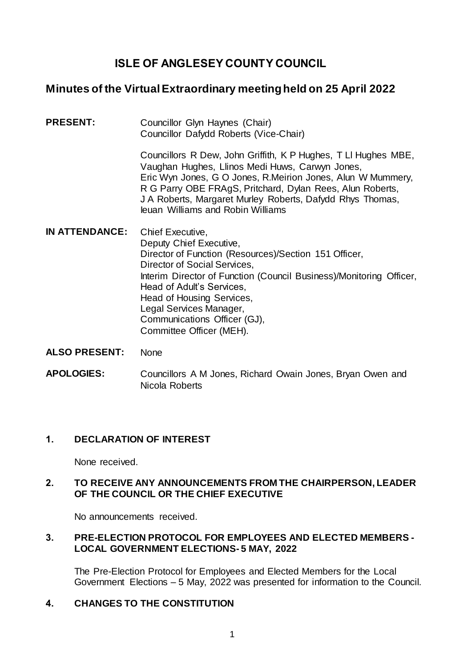# **ISLE OF ANGLESEY COUNTY COUNCIL**

# **Minutes of the Virtual Extraordinary meeting held on 25 April 2022**

**PRESENT:** Councillor Glyn Haynes (Chair) Councillor Dafydd Roberts (Vice-Chair)

> Councillors R Dew, John Griffith, K P Hughes, T Ll Hughes MBE, Vaughan Hughes, Llinos Medi Huws, Carwyn Jones, Eric Wyn Jones, G O Jones, R.Meirion Jones, Alun W Mummery, R G Parry OBE FRAgS, Pritchard, Dylan Rees, Alun Roberts, J A Roberts, Margaret Murley Roberts, Dafydd Rhys Thomas, Ieuan Williams and Robin Williams

- **IN ATTENDANCE:** Chief Executive, Deputy Chief Executive, Director of Function (Resources)/Section 151 Officer, Director of Social Services, Interim Director of Function (Council Business)/Monitoring Officer, Head of Adult's Services, Head of Housing Services, Legal Services Manager, Communications Officer (GJ), Committee Officer (MEH).
- **ALSO PRESENT:** None
- **APOLOGIES:** Councillors A M Jones, Richard Owain Jones, Bryan Owen and Nicola Roberts

### **1. DECLARATION OF INTEREST**

None received.

## **2. TO RECEIVE ANY ANNOUNCEMENTS FROM THE CHAIRPERSON, LEADER OF THE COUNCIL OR THE CHIEF EXECUTIVE**

No announcements received.

## **3. PRE-ELECTION PROTOCOL FOR EMPLOYEES AND ELECTED MEMBERS - LOCAL GOVERNMENT ELECTIONS- 5 MAY, 2022**

The Pre-Election Protocol for Employees and Elected Members for the Local Government Elections – 5 May, 2022 was presented for information to the Council.

# **4. CHANGES TO THE CONSTITUTION**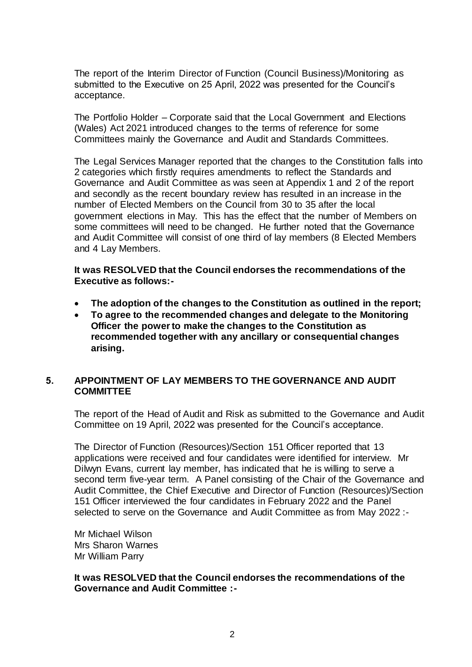The report of the Interim Director of Function (Council Business)/Monitoring as submitted to the Executive on 25 April, 2022 was presented for the Council's acceptance.

The Portfolio Holder – Corporate said that the Local Government and Elections (Wales) Act 2021 introduced changes to the terms of reference for some Committees mainly the Governance and Audit and Standards Committees.

The Legal Services Manager reported that the changes to the Constitution falls into 2 categories which firstly requires amendments to reflect the Standards and Governance and Audit Committee as was seen at Appendix 1 and 2 of the report and secondly as the recent boundary review has resulted in an increase in the number of Elected Members on the Council from 30 to 35 after the local government elections in May. This has the effect that the number of Members on some committees will need to be changed. He further noted that the Governance and Audit Committee will consist of one third of lay members (8 Elected Members and 4 Lay Members.

**It was RESOLVED that the Council endorses the recommendations of the Executive as follows:-**

- **The adoption of the changes to the Constitution as outlined in the report;**
- **To agree to the recommended changes and delegate to the Monitoring Officer the power to make the changes to the Constitution as recommended together with any ancillary or consequential changes arising.**

### **5. APPOINTMENT OF LAY MEMBERS TO THE GOVERNANCE AND AUDIT COMMITTEE**

The report of the Head of Audit and Risk as submitted to the Governance and Audit Committee on 19 April, 2022 was presented for the Council's acceptance.

The Director of Function (Resources)/Section 151 Officer reported that 13 applications were received and four candidates were identified for interview. Mr Dilwyn Evans, current lay member, has indicated that he is willing to serve a second term five-year term. A Panel consisting of the Chair of the Governance and Audit Committee, the Chief Executive and Director of Function (Resources)/Section 151 Officer interviewed the four candidates in February 2022 and the Panel selected to serve on the Governance and Audit Committee as from May 2022 :-

Mr Michael Wilson Mrs Sharon Warnes Mr William Parry

**It was RESOLVED that the Council endorses the recommendations of the Governance and Audit Committee :-**